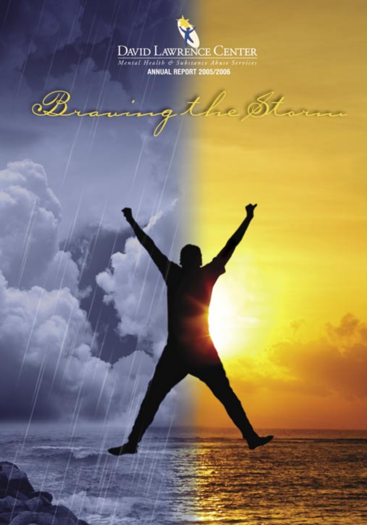

the Storm B.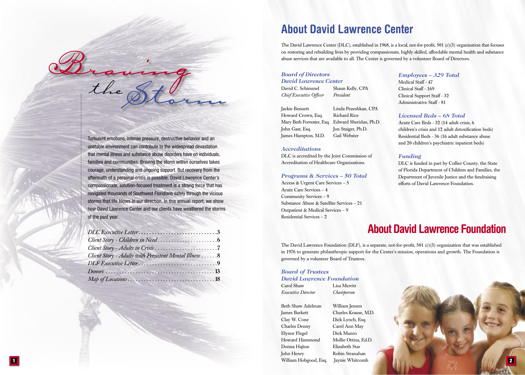Turbulent emotions, intense pressure, destructive behavior and an unstable environment can contribute to the widespread devastation that mental illness and substance abuse disorders have on individuals, families and communities. Braving the storm within ourselves takes courage, understanding and ongoing support. But recovery from the aftermath of a personal crisis is possible. David Lawrence Center's compassionate, solution-focused treatment is a strong force that has navigated thousands of Southwest Floridians safely through the vicious storms that life blows in our direction. In this annual report, we show how David Lawrence Center and our clients have weathered the storms of the past year.

Braning

| DLC Executive Letter3                                                                |  |
|--------------------------------------------------------------------------------------|--|
|                                                                                      |  |
|                                                                                      |  |
| Client Story - Adults with Persistent Mental Illness 8                               |  |
|                                                                                      |  |
|                                                                                      |  |
| $Map of Locations \ldots \ldots \ldots \ldots \ldots \ldots \ldots \ldots \ldots 18$ |  |

## **About David Lawrence Center**

The David Lawrence Center (DLC), established in 1968, is a local, not-for-profit,  $501$  (c)(3) organization that focuses on restoring and rebuilding lives by providing compassionate, highly skilled, affordable mental health and substance abuse services that are available to all. The Center is governed by a volunteer Board of Directors.

#### *Board of Directors David Lawrence Center*

David C. Schimmel Shaun Kelly, CPA *Chief Executive Officer President* 

Howard Crown, Esq. Richard Rice John Gast, Esq. Jon Staiger, Ph.D. James Hampton, M.D. Gail Webster

Jackie Bennett Linda Pezeshkan, CPA Mary Beth Forrester, Esq. Edward Sheridan, Ph.D.

#### *Accreditations*

DLC is accredited by the Joint Commission of Accreditation of Healthcare Organizations.

#### *Programs & Services – 50 Total*

Access & Urgent Care Services – 5 Acute Care Services – 4 Community Services – 9 Substance Abuse & Satellite Services – 21 Outpatient & Medical Services – 9 Residential Services – 2

#### *Employees – 329 Total*

Medical Staff - 47 Clinical Staff - 169 Clinical Support Staff - 32 Administrative Staff - 81

#### *Licensed Beds – 68 Total*

Acute Care Beds - 32 (14 adult crisis, 6 children's crisis and 12 adult detoxification beds) Residential Beds - 36 (16 adult substance abuse and 20 children's psychiatric inpatient beds)

#### *Funding*

DLC is funded in part by Collier County, the State of Florida Department of Children and Families, the Department of Juvenile Justice and the fundraising efforts of David Lawrence Foundation.

## **About David Lawrence Foundation**

The David Lawrence Foundation (DLF), is a separate, not-for-profit, 501 (c)(3) organization that was established in 1976 to generate philanthropic support for the Center's mission, operations and growth. The Foundation is governed by a volunteer Board of Trustees.

#### *Board of Trustees*

*David Lawrence Foundation*

Carol Shaw Lisa Merritt *Executive Director Chairperson*

Beth Shaw Adelman William Jensen James Burkett Charles Krause, M.D. Clay W. Cone Dick Lynch, Esq. Charles Denny Carol Ann May Elynor Flegel Dick Munro Howard Hammond Mollie Ottina, Ed.D. Donna Hajtun Elizabeth Star John Henry Robin Stranahan 1 William Hobgood, Esq. Jaynie Whitcomb 2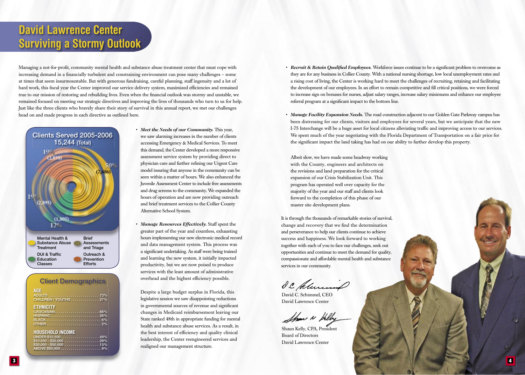## **David Lawrence Center Surviving a Stormy Outlook**

Managing a not-for-profit, community mental health and substance abuse treatment center that must cope with increasing demand in a financially turbulent and constraining environment can pose many challenges - some at times that seem insurmountable. But with generous fundraising, careful planning, staff ingenuity and a lot of hard work, this fiscal year the Center improved our service delivery system, maximized efficiencies and remained true to our mission of restoring and rebuilding lives. Even when the financial outlook was stormy and unstable, we remained focused on meeting our strategic directives and improving the lives of thousands who turn to us for help. Just like the three clients who bravely share their story of survival in this annual report, we met our challenges head on and made progress in each directive as outlined here.



| <b>Client Demographics</b>                                                                                                                   |
|----------------------------------------------------------------------------------------------------------------------------------------------|
| <b>AGE</b><br><b>CHILDREN / YOUTHS 27%</b>                                                                                                   |
| <b>ETHNICITY</b><br>HISPANIC 26%                                                                                                             |
| <b>HOUSEHOLD INCOME</b><br>UNDER \$10,500 49%<br>$$10,500 - $30,000 \ldots \ldots \ldots \ldots \ldots 29\%$<br>$$30,000 - $50,000     13\%$ |

- *Meet the Needs of our Community.* This year, we saw alarming increases in the number of clients accessing Emergency & Medical Services. To meet this demand, the Center developed a more responsive assessment service system by providing direct to physician care and further refining our Urgent Care model insuring that anyone in the community can be seen within a matter of hours. We also enhanced the Juvenile Assessment Center to include free assessments and drug screens to the community. We expanded the hours of operation and are now providing outreach and brief treatment services to the Collier County Alternative School System.
- *Manage Resources Effectively.* Staff spent the greater part of the year and countless, exhausting hours implementing our new electronic medical record and data management system. This process was a significant undertaking. As staff were being trained and learning the new system, it initially impacted productivity, but we are now poised to produce services with the least amount of administrative overhead and the highest efficiency possible.

Despite a large budget surplus in Florida, this legislative session we saw disappointing reductions in governmental sources of revenue and significant changes in Medicaid reimbursement leaving our State ranked 48th in appropriate funding for mental health and substance abuse services. As a result, in the best interest of efficiency and quality clinical leadership, the Center reengineered services and realigned our management structure.

- *Recruit & Retain Qualified Employees.* Workforce issues continue to be a significant problem to overcome as they are for any business in Collier County. With a national nursing shortage, low local unemployment rates and a rising cost of living, the Center is working hard to meet the challenges of recruiting, retaining and facilitating the development of our employees. In an effort to remain competitive and fill critical positions, we were forced to increase sign on bonuses for nurses, adjust salary ranges, increase salary minimums and enhance our employee referral program at a significant impact to the bottom line.
- *Manage Facility Expansion Needs.* The road construction adjacent to our Golden Gate Parkway campus has been distressing for our clients, visitors and employees for several years, but we anticipate that the new I-75 Interchange will be a huge asset for local citizens alleviating traffic and improving access to our services. We spent much of the year negotiating with the Florida Department of Transportation on a fair price for the significant impact the land taking has had on our ability to further develop this property.

Albeit slow, we have made some headway working with the County, engineers and architects on the revisions and land preparation for the critical expansion of our Crisis Stabilization Unit. This program has operated well over capacity for the majority of the year and our staff and clients look forward to the completion of this phase of our master site development plans.

It is through the thousands of remarkable stories of survival, change and recovery that we find the determination and perseverance to help our clients continue to achieve success and happiness. We look forward to working together with each of you to face our challenges, seek out opportunities and continue to meet the demand for quality, compassionate and affordable mental health and substance services in our community.

I.C. Columny

David C. Schimmel, CEO David Lawrence Center

Show is Hely Shaun Kelly, CPA, President

Board of Directors David Lawrence Center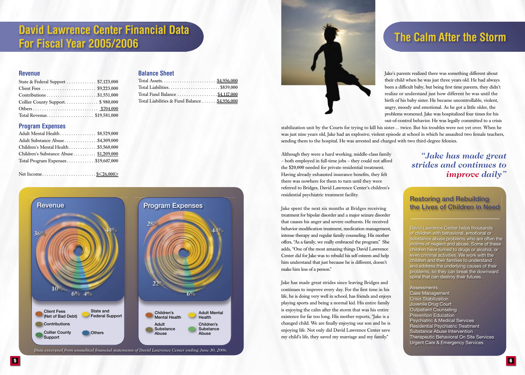## **David Lawrence Center Financial Data For Fiscal Year 2005/2006 The Calm After the Storm**

**Balance Sheet**

Total Assets. . . . . . . . . . . . . . . . . . . . . . . . .\$4,956,000 Total Liabilities. . . . . . . . . . . . . . . . . . . . . . . \$839,000 Total Fund Balance . . . . . . . . . . . . . . . . . . \$4,117,000 Total Liabilities & Fund Balance ...... \$4,956,000

#### **Revenue**

| State & Federal Support  \$7,123,000 |  |
|--------------------------------------|--|
|                                      |  |
|                                      |  |
| Collier County Support\$980,000      |  |
|                                      |  |
|                                      |  |

#### **Program Expenses**

| Adult Mental Health  \$8,529,000       |  |
|----------------------------------------|--|
| Adult Substance Abuse \$4,309,000      |  |
| Children's Mental Health \$5,560,000   |  |
| Children's Substance Abuse \$1,209,000 |  |
| Total Program Expenses\$19,607,000     |  |
|                                        |  |

Net Income. . . . . . . . . . . . . . . . . . . . . . . . \$<26,000>





stabilization unit by the Courts for trying to kill his sister… twice. But his troubles were not yet over. When he was just nine years old, Jake had an explosive, violent episode at school in which he assaulted two female teachers, sending them to the hospital. He was arrested and charged with two third-degree felonies.

Although they were a hard working, middle-class family – both employed in full-time jobs – they could not afford the \$20,000 needed for private residential treatment. Having already exhausted insurance benefits, they felt there was nowhere for them to turn until they were referred to Bridges, David Lawrence Center's children's residential psychiatric treatment facility.

Jake spent the next six months at Bridges receiving treatment for bipolar disorder and a major seizure disorder that causes his anger and severe outbursts. He received behavior modification treatment, medication management, intense therapy and regular family counseling. His mother offers, "As a family, we really embraced the program." She adds, "One of the most amazing things David Lawrence Center did for Jake was to rebuild his self esteem and help him understand that just because he is different, doesn't make him less of a person."

Jake has made great strides since leaving Bridges and continues to improve every day. For the first time in his life, he is doing very well in school, has friends and enjoys playing sports and being a normal kid. His entire family is enjoying the calm after the storm that was his entire existence for far too long. His mother reports, "Jake is a changed child. We are finally enjoying our son and he is enjoying life. Not only did David Lawrence Center save my child's life, they saved my marriage and my family."

## *"Jake has made great strides and continues to improve daily"*

### Restoring and Rebuilding the Lives of Children in Need

David Lawrence Center helps thousands of children with behavioral, emotional or substance abuse problems who are often the victims of neglect and abuse. Some of these children have turned to drugs or alcohol, or even criminal activities. We work with the children and their families to understand and address the underlying causes of their problems, so they can break the downward spiral that can destroy their futures.

#### **Assessments** Case Management Crisis Stabilization Juvenile Drug Court Outpatient Counseling Prevention Education Psychiatric & Medical Services Residential Psychiatric Treatment Substance Abuse Intervention Therapeutic Behavioral On Site Services Urgent Care & Emergency Services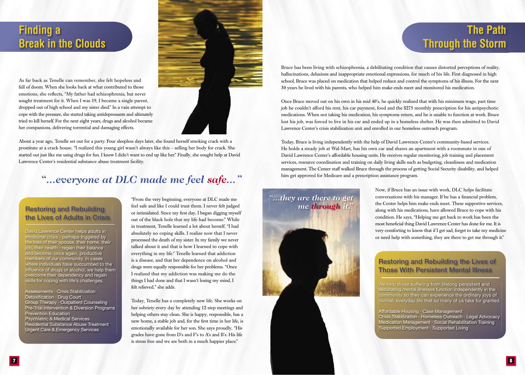## **Finding a Break in the Clouds**

As far back as Tenelle can remember, she felt hopeless and full of doom. When she looks back at what contributed to those emotions, she reflects, "My father had schizophrenia, but never sought treatment for it. When I was 19, I became a single parent, dropped out of high school and my sister died." In a vain attempt to cope with the pressure, she started taking antidepressants and ultimately tried to kill herself. For the next eight years, drugs and alcohol became her companions, delivering torrential and damaging effects.



About a year ago, Tenelle set out for a party. Four sleepless days later, she found herself smoking crack with a prostitute at a crack house. "I realized this young girl wasn't always like this – selling her body for crack. She started out just like me using drugs for fun. I knew I didn't want to end up like her." Finally, she sought help at David Lawrence Center's residential substance abuse treatment facility.

## *"...everyone at DLC made me feel safe..."*

## Restoring and Rebuilding the Lives of Adults in Crisis

David Lawrence Center helps adults in emotional crisis - perhaps triggered by the loss of their spouse, their home, their job, their health - regain their balance and become, once again, productive members of our community. In cases where individuals have succumbed to the influence of drugs or alcohol, we help them overcome their dependency and regain skills for coping with life's challenges.

Assessments · Crisis Stabilization Detoxification · Drug Court Group Therapy · Outpatient Counseling Pre-Trial Intervention & Diversion Programs Prevention Education Psychiatric & Medical Services Residential Substance Abuse Treatment Urgent Care & Emergency Services

"From the very beginning, everyone at DLC made me feel safe and like I could trust them. I never felt judged or intimidated. Since my first day, I began digging myself out of the black hole that my life had become." While in treatment, Tenelle learned a lot about herself. "I had absolutely no coping skills. I realize now that I never processed the death of my sister. In my family we never talked about it and that is how I learned to cope with everything in my life." Tenelle learned that addiction is a disease, and that her dependence on alcohol and drugs were equally responsible for her problems. "Once I realized that my addiction was making me do the things I had done and that I wasn't losing my mind, I felt relieved," she adds.

Today, Tenelle has a completely new life. She works on her sobriety every day by attending 12-step meetings and helping others stay clean. She is happy, responsible, has a new home, a stable job and, for the first time in her life, is emotionally available for her son. She says proudly, "His grades have gone from D's and F's to A's and B's. His life is stress free and we are both in a much happier place."

## **The Path Through the Storm**

Bruce has been living with schizophrenia, a debilitating condition that causes distorted perceptions of reality, hallucinations, delusions and inappropriate emotional expressions, for much of his life. First diagnosed in high school, Bruce was placed on medication that helped reduce and control the symptoms of his illness. For the next 30 years he lived with his parents, who helped him make ends meet and monitored his medication.

Once Bruce moved out on his own in his mid 40's, he quickly realized that with his minimum wage, part time job he couldn't afford his rent, his car payment, food and the \$275 monthly prescription for his antipsychotic medications. When not taking his medication, his symptoms return, and he is unable to function at work. Bruce lost his job, was forced to live in his car and ended up in a homeless shelter. He was then admitted to David Lawrence Center's crisis stabilization unit and enrolled in our homeless outreach program.

Today, Bruce is living independently with the help of David Lawrence Center's community-based services. He holds a steady job at Wal-Mart, has his own car and shares an apartment with a roommate in one of David Lawrence Center's affordable housing units. He receives regular monitoring, job training and placement services, resource coordination and training on daily living skills such as budgeting, cleanliness and medication management. The Center staff walked Bruce through the process of getting Social Security disability, and helped him get approved for Medicare and a prescription assistance program.



Now, if Bruce has an issue with work, DLC helps facilitate conversations with his manager. If he has a financial problem, the Center helps him make ends meet. These supportive services, along with his medications, have allowed Bruce to cope with his condition. He says, "Helping me get back to work has been the most beneficial thing David Lawrence Center has done for me. It is very comforting to know that if I get sad, forget to take my medicine or need help with something, they are there to get me through it."

#### Restoring and Rebuilding the Lives of Those With Persistent Mental Illness

We help those suffering from lifelong persistent and debilitating mental illnesses function independently in the community so they can experience the ordinary joys of normal, everyday life that so many of us take for granted.

Affordable Housing · Case Management Crisis Stabilization · Homeless Outreach · Legal Advocacy Medication Management · Social Rehabilitation Training Supported Employment · Supported Living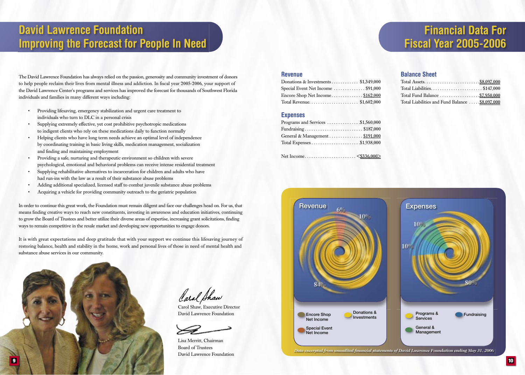The David Lawrence Foundation has always relied on the passion, generosity and community investment of donors to help people reclaim their lives from mental illness and addiction. In fiscal year 2005-2006, your support of the David Lawrence Center's programs and services has improved the forecast for thousands of Southwest Florida individuals and families in many different ways including:

- Providing lifesaving, emergency stabilization and urgent care treatment to individuals who turn to DLC in a personal crisis
- Supplying extremely effective, yet cost prohibitive psychotropic medications to indigent clients who rely on these medications daily to function normally
- Helping clients who have long term needs achieve an optimal level of independence by coordinating training in basic living skills, medication management, socialization and finding and maintaining employment
- Providing a safe, nurturing and therapeutic environment so children with severe psychological, emotional and behavioral problems can receive intense residential treatment
- Supplying rehabilitative alternatives to incarceration for children and adults who have had run-ins with the law as a result of their substance abuse problems
- Adding additional specialized, licensed staff to combat juvenile substance abuse problems
- Acquiring a vehicle for providing community outreach to the geriatric population

In order to continue this great work, the Foundation must remain diligent and face our challenges head on. For us, that means finding creative ways to reach new constituents, investing in awareness and education initiatives, continuing to grow the Board of Trustees and better utilize their diverse areas of expertise, increasing grant solicitations, finding ways to remain competitive in the resale market and developing new opportunities to engage donors.

It is with great expectations and deep gratitude that with your support we continue this lifesaving journey of restoring balance, health and stability in the home, work and personal lives of those in need of mental health and substance abuse services in our community.



Caral Shaw Carol Shaw, Executive Director

David Lawrence Foundation



Lisa Merritt, Chairman Board of Trustees David Lawrence Foundation

# **Financial Data For Fiscal Year 2005-2006**

#### **Revenue**

| Donations & Investments \$1,349,000 |  |
|-------------------------------------|--|
| Special Event Net Income \$91,000   |  |
| Encore Shop Net Income\$162,000     |  |
| Total Revenue\$1,602,000            |  |

#### **Expenses**

| Programs and Services $\dots \dots \dots \dots$ \$1,560,000 |  |
|-------------------------------------------------------------|--|
|                                                             |  |
| General & Management  \$191,000                             |  |
|                                                             |  |

Net Income. . . . . . . . . . . . . . . . . . . . . . . <\$336,000>

#### **Balance Sheet**

| Total Fund Balance \$7,950,000                 |  |
|------------------------------------------------|--|
| Total Liabilities and Fund Balance \$8,097,000 |  |

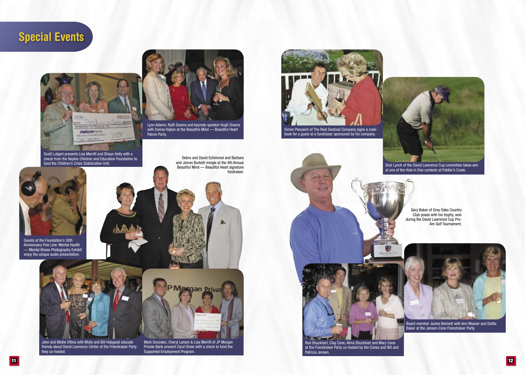



Scott Lutgert presents Lisa Merritt and Shaun Kelly with a check from the Naples Children and Education Foundation to fund the Children's Crisis Stabilization Unit.



Guests at the Foundation's 30th Anniversary Fine Line: Mental Health — Mental Illness Photography Exhibit enjoy the unique audio presentation.



John and Mollie Ottina with Molly and Bill Hobgood educate friends about David Lawrence Center at the Friendraiser Party they co-hosted.



Lynn Adams, Ruth Downs and keynote speaker Hugh Downs with Donna Hajtun at the Beautiful Mind — Beautiful Heart Patron Party.

Mark Gonzalez, Cheryl Larson & Lisa Merritt of JP Morgan Private Bank present Carol Shaw with a check to fund the

PMargan P

Supported Employment Program.

Debra and David Schimmel and Barbara and James Burkett mingle at the 4th Annual Beautiful Mind — Beautiful Heart signature fundraiser.



book for a guest at a fundraiser sponsored by his company.



Dick Lynch of the David Lawrence Cup committee takes aim at one of the Hole in One contests at Fiddler's Creek.

Gary Baker of Grey Oaks Country Club poses with his trophy, won during the David Lawrence Cup Pro-Am Golf Tournament.





Board member Jackie Bennett with Ann Weaver and Dottie Baker at the Jensen-Cone Friendraiser Party.

Patricia Jensen.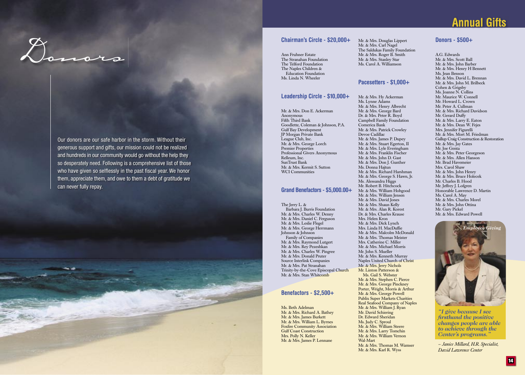# Chairman's Circle - \$20,000+<br>Ann Fruhner Estate<br>The Stranshan Foundation<br>The Stranshan Foundation

Our donors are our safe harbor in the storm. Without their generous support and gifts, our mission could not be realized and hundreds in our community would go without the help they so desperately need. Following is a comprehensive list of those who have given so selflessly in the past fiscal year. We honor them, appreciate them, and owe to them a debt of gratitude we



Ann Fruhner Estate The Stranahan Foundation The Telford Foundation The Naples Children & Education Foundation Ms. Linda N. Wheeler

#### **Leadership Circle - \$10,000+**

Mr. & Mrs. Don E. Ackerman Anonymous Fifth Third Bank Goodlette, Coleman & Johnson, P.A. Gulf Bay Development JP Morgan Private Bank League Club, Inc. Mr. & Mrs. George Lorch Premier Properties Professional Givers Anonymous Relleum, Inc. SunTrust Bank Mr. & Mrs. Kermit S. Sutton

#### **Grand Benefactors - \$5,000.00+**

The Jerry L. & Barbara J. Burris Foundation Mr. & Mrs. Charles W. Denny Mr. & Mrs. Daniel C. Ferguson Mr. & Mrs. Leslie Flegel Mr. & Mrs. George Herrmann Johnson & Johnson Family of Companies Mr. & Mrs. Raymond Lutgert Mr. & Mrs. Rey Pezeshkan Mr. & Mrs. Charles W. Pingree Mr. & Mrs. Donald Pruter Source Interlink Companies Mr. & Mrs. Pat Stranahan Trinity-by-the-Cove Episcopal Church Mr. & Mrs. Stan Whitcomb

#### **Benefactors - \$2,500+**

Ms. Beth Adelman Mr. & Mrs. Richard A. Bathey Mr. & Mrs. James Burkett Mr. & Mrs. William L. Byrnes Foxfire Community Association Gulf Coast Construction Mrs. Polly N. Keller Mr. & Mrs. James P. Lennane

Mr. & Mrs. Douglas Lippert Mr. & Mrs. Carl Nagel The Saldukas Family Foundation Mr. & Mrs. Roger B. Smith Mr. & Mrs. Stanley Star Ms. Carol A. Williamson

#### **Pacesetters - \$1,000+**

Mr. & Mrs. Hy Ackerman Ms. Lynne Adams Mr. & Mrs. Henry Albrecht Mr. & Mrs. George Bard Dr. & Mrs. Peter R. Boyd Campbell Family Foundation

Mr. & Mrs. Patrick Crowley

Mr. & Mrs. James P. Dupey Mr. & Mrs. Stuart Egerton, II Mr. & Mrs. Lyle Everingham Mr. & Mrs. Franklin Fischer Mr. & Mrs. John D. Gast Mr. & Mrs. Don J. Gunther Ms. Donna Haitun

Mr. & Mrs. Richard Harshman Mr. & Mrs. George S. Hawn, Jr. Ms. Alessandra Higgs Mr. Robert B. Hitchcock Mr. & Mrs. William Hobgood Mr. & Mrs. William Jensen Mr. & Mrs. David Jones Mr. & Mrs. Shaun Kelly Mr. & Mrs. Alan R. Korest Dr. & Mrs. Charles Krause Mrs. Helen Kron Mr. & Mrs. Dick Lynch Mrs. Linda H. MacDuffie Mr. & Mrs. Malcolm McDonald Mr. & Mrs. Thomas Meister Mrs. Catherine C. Miller

Comerica Bank

Devoe Cadillac

WCI Communities

#### Mr. & Mrs. Michael Morris Mr. John S. Mueller Mr. & Mrs. Kenneth Murray Naples United Church of Christ Mr. & Mrs. Jerry Nichols Mr. Linton Patterson & Ms. Gail S. Webster Mr. & Mrs. Stephen C. Pierce Mr. & Mrs. George Pinckney

Porter, Wright, Morris & Arthur Mr. & Mrs. George Powell Publix Super Markets Charities Real Seafood Company of Naples Mr. & Mrs. William J. Ryan Mr. David Schiering Dr. Edward Sheridan Ms. Judy C. Sproul Mr. & Mrs. William Steere Mr. & Mrs. Larry Tomchin Mr. & Mrs. William Vernon

> Wal-Mart Mr. & Mrs. Thomas M. Wamser Mr. & Mrs. Karl R. Wyss

#### **Donors - \$500+**

A.G. Edwards Mr. & Mrs. Scott Ball Mr. & Mrs. John Barber Mr. & Mrs. Henry H Bennett Ms. Jean Benson Mr. & Mrs. David L. Brennan Mr. & Mrs. John M. Brilbeck Cohen & Grigsby Ms. Joanne N. Collins Mr. Maurice W. Connell Mr. Howard L. Crown Mr. Peter A. Cullman Mr. & Mrs. Richard Davidson Mr. Gerard Duffy Mr. & Mrs. Larry E. Eaton Mr. & Mrs. Dean W. Fejes Mrs. Jennifer Figurelli Mr. & Mrs. Mort M. Friedman Gallup Craig Construction & Restoration Mr. & Mrs. Jay Gates Mr. Joe Genta Mr. & Mrs. Peter Georgeson Mr. & Mrs. Allen Hanson Mr. Brad Havemeier Mrs. Carol Shaw Mr. & Mrs. John Henry Mr. & Mrs. Bruce Holecek Mr. Charles B. Hood Mr. Jeffrey J. Lofgren Honorable Lawrence D. Martin Ms. Carol A. May Mr. & Mrs. Charles Morel Mr. & Mrs. John Ottina Mr. Gary Pickel Mr. & Mrs. Edward Powell



*"I give because I see fi rsthand the positive changes people are able to achieve through the Center's programs."* 

*— Janice Millard, H.R. Specialist, David Lawrence Center*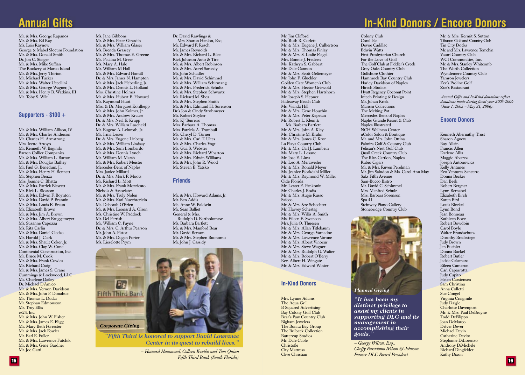## **Annual Gifts**

Mr. & Mrs. George Rapanos Mr. & Mrs. Ed Ray Ms. Lois Raynow George & Mabel Slocum Foundation Mr. & Mrs. Donald Smith Dr. Jon C. Staiger Mr. & Mrs. Mike Suffian The Rookery at Marco Island Mr. & Mrs. Jerry Thirion Mr. Michael Tucker Mr. & Mrs. Walter Uccellini Mr. & Mrs. George Wagner, Jr. Mr. & Mrs. Henry B. Watkins, III Mr. Toby S. Wilt

#### **Supporters - \$100 +**

Mr. & Mrs. William Allison, IV Mr. & Mrs. Charles Anderson Mr. Charles H. Armstrong Mrs. Ivette Arroyo Mr. Kenneth W. Baginski Barron Collier Companies Mr. & Mrs. William L. Barton Mr. & Mrs. Douglas Bathey Mr. Paul G. Benedum, Jr. Mr. & Mrs. Henry H. Bennett Mr. Stephen Benza Mrs. Joanne C. Bhatta Mr. & Mrs. Patrick Blewett Mr. Rick L. Blossom Mr. & Mrs. Edwin F. Boynton Mr. & Mrs. David P. Brannin Mr. & Mrs. Louis E. Braun Ms. Elizabeth Brown Mr. & Mrs. Jim A. Brown Mr. & Mrs. Albert Bruggemeyer Ms. Suzanne Capozza Ms. Rita Carlin Mr. & Mrs. Daniel Ciecko Mr. Harold I. Clark Mr. & Mrs. Shault Coker, Jr. Mr. & Mrs. Clay W. Cone Continental Construction, Inc. Mr. Bruce M. Cook Mr. & Mrs. Frank Cowles Mr. Richard Craig Mr. & Mrs. James S. Crane Cummings & Lockwood, LLC Ms. Charlene Dailey Dr. Michael D'Amico Mr. & Mrs. Vernon Davidson Mr. & Mrs. John F. Donahue Mr. Thomas L. Dudas Mr. Stephan Edmonston Mr. Troy Ellis  $ex24$ , Inc. Mr. & Mrs. John W. Fisher Mr. & Mrs. James E. Fligg Ms. Mary Beth Forrester Mr. & Mrs. Jack Fowler Mr. Earl E. Fuller Mr. & Mrs. Lawrence Futchik Mr. & Mrs. Gene Gardner Mr. Joe Gatti

Ms. Jane Gibbons Mr. & Mrs. Peter Girardin Mr. & Mrs. William Glaser Ms. Brenda Grassey Mr. & Mrs. Thomas E. Greene Ms. Paulina M. Greer Ms. Mary A. Hale Mr. William M Hall Mr. & Mrs. Edward Hamill Dr. & Mrs. James N. Hampton Mr. & Mrs. Jack Heberling, Jr. Mr. & Mrs. Dennis L. Holland Mrs. Christine Holmes Mr. & Mrs. Hubert E. Howard Mr. Raymond Huot Mrs. & Dr. Margaret Kohlhepp Mr. & Mrs. John Kolmer, Jr. Mr. & Mrs. Andrew Krause Dr. & Mrs. Neal E. Krupp Dr. & Mrs. William Lascheid Mr. Eugene A. Leinroth, Jr. Ms. Irma Lesser Dr. & Mrs. Eugene Linberg Mr. & Mrs. William Lindsay Mr. & Mrs. Sam Lombardo Mr. & Mrs. Dennis Lynch Mr. William M. Marsh Mr. & Mrs. Robert Meister Mercedes-Benz of Naples Mrs. Janice Millard Dr. & Mrs. Mark F. Moots Mr. Richard L. Mott Mr. & Mrs. Frank Mozzicato Nichols & Associates Mr. & Mrs. Truly Nolen Mr. & Mrs. Karl Nuechterlein Ms. Deborah O'Brien Mr. & Mrs. Leonard A. Olson Ms. Christine W. Paddock Mr. Del Parrish Mr. William C. Payne Dr. & Mrs. C. Arthur Pearson Mr. John A. Pistor Mr. & Mrs. Dugan Porter Ms. Lieselotte Prym

Dr. David Rawlings & Mrs. Sharon Hanlon, Esq. Mr. Edward F. Resch Mr. James Reynolds Mr. & Mrs. Richard L. Rice Rick Johnson Auto & Tire Mr. & Mrs. Albert Robinson Mr. & Mrs. Aurel Sarosdy Mr. John Schadler Mr. & Mrs. David Schimmel Mr. & Mrs. William Schirmang Mr. & Mrs. Frederick Schultz Mr. & Mrs. Stephen Schwartz Mr. Richard M. Shea Mr. & Mrs. Stephen Smith Mr. & Mrs. Edmund H. Sorenson Dr.'s Jon & Cindy Strohmeyer Mr. Robert Stryker Ms. KJ Tenreiro Mrs. Barbara A. Thomas Mrs. Patricia A. Trumbull Ms. Cheryl D. Turner Mr. & Mrs. Carl T. Ultes Mr. & Mrs. Charles Vogt Ms. Gail S. Webster Mr. & Mrs. Richard Wharton Mr. & Mrs. Edwin Williams Mr. & Mrs. John R. Wood Mr. Steven E. Yatsko

#### **Friends**

Mr. & Mrs. Howard Adams, Jr. Mr. Ben Addis Ms. Anne W. Baldwin Mr. Sean Balliet General & Mrs. Rudolph D. Bartholomew Ms. Barbara Bartlett Mr. & Mrs. Manford Bear Mr. David Benson Mr. & Mrs. Stephen Buonomo Mr. John J. Cassidy



*"Fifth Third is honored to support David Lawrence Center in its quest to rebuild lives."*

> *— Howard Hammond, Colleen Kvetko and Tom Quinn Fifth Third Bank (South Florida)*

Mr. Jim Clifford Ms. Ruth R. Corlett Mr. & Mrs. Eugene J. Culbertson Mr. & Mrs. Thomas Finlay Mr. & Mrs. S. Leslie Flegel Mrs. Bonnie J. Fredeen Ms. Kathryn S. Gabbert Mr. Dale Gannon Mr. & Mrs. Scott Geltemeyer Mr. John F. Gluckler Golden Gate Women's Club Mr. & Mrs. Hector Griswold Mr. & Mrs. Stephen Hartshorn Mr. Joseph S. Hepner Hideaway Beach Club Ms. Vianda Hill Mr. & Mrs. Gene Houchin Mr. & Mrs. Peter Kapetan Mr. Robert L. Klein & Ms. Barbara Bartlett Mr. & Mrs. John A. Kley Ms. Christine M. Krahn Mr. & Mrs. James C. Kron La Playa Country Club Mr. & Mrs. Carl J. Lambein Ms. Mary L. Lesane Mr. Jose E. Lima Mr. Leo A. Merzweiler Mr. & Mrs. Ronald Meyer Ms. Jeanlee Bjorkdahl Miller Mr. & Mrs. Raymond W. Miller Olde Florida Mr. Lester E. Pankonin Mr. Charles J. Rodis Mr. & Mrs. Augie Russo Safeco Mr. & Mrs. &re Schechter Mr. Harvey Schestag Mr. & Mrs. Willis A. Smith Ms. Eileen E. Swanson Mrs. Julia O. Thuesen Mr. & Mrs. Allan Titlebaum Mr. & Mrs. George Varnadoe Mr. & Mrs. Lawrence Varone Mr. & Mrs. Albert Vinocur Mr. & Mrs. Steve Wagner Mr. & Mrs. Rudolph G. Walter Mr. & Mrs. Robert O'Berry Rev. Albert H. Wingate Mr. & Mrs. Edward Winter

#### **In-Kind Donors**

Mrs. Lynne Adams The Aqua Grill B-Squared Advertising Bay Colony Golf Club Bear's Paw Country Club Bigham Jewelers The Bonita Bay Group The Brilbeck Collection Buttercup Studios Mr. Dale Cable Christofle City Mattress Clive Christian

# **In-Kind Donors / Encore Donors**

Coral Isle Devoe Cadillac Edwin Watts First Presbyterian Church For the Love of Golf The Golf Club at Fiddler's Creek Grey Oaks Country Club Gulfshore Clothier Hammock Bay Country Club Harley Davidson of Naples Hirsch Studios Hyatt Regency Coconut Point Intech Printing & Design Mr. Johan Kriek Marissa Collections The Melting Pot Mercedes Benz of Naples Naples Grande Resort & Club Naples Illustrated NCH Wellness Center nColor Salon & Boutique Mr. and Mrs. John Ottina Palmira Golf & Country Club Pelican's Nest Golf Club Quail Creek Country Club The Ritz-Cartlon, Naples Rubio Cigars Mr. & Mrs. Ruven Perelman Mr. Jim Saindon & Ms. Carol Ann May Saks Fifth Avenue Sam-Bucco Bistro Mr. David C. Schimmel Mrs. Manfred Schulz Mrs. Barbara Sorenson Spa 41 Steinway Piano Gallery Stonebridge Country Club

Colony Club



*distinct privilege to assist my clients in supporting DLC and its management in accomplishing their goals."*

*— George Wilson, Esq., Cheffy Passidomo Wilson & Johnson Former DLC Board President*

Mr. & Mrs. Kermit S. Sutton Tiburon Golf and Country Club Tin City Docks Mr. and Mrs. Lawrence Tomchin Vasari Country Club WCI Communities, Inc. Mr. & Mrs. Stanley Whitcomb The Worth Collection Wyndemere Country Club Yamron Jewelers Zee's Proline Golf Zoe's Restaurant

*Annual Gifts and In-Kind donations reflect* donations made during fiscal year 2005-2006 *(June 1, 2005 – May 31, 2006).*

#### **Encore Donors**

Kenneth Abernathy Trust Sharon Agnew Ray Allain Francis Allen Darlene Allia Maggie Alvarez Joseph Antonowicz Kelly Antunes Eco Ventures Sancerre Donna Becker Dan Beek Robert Bergner Lynn Bernabei Elizabeth Birch Karen Bird Louis Bleckel Lynn Bond Jean Bonneau Kathleen Bove Robert Bowdoin Carol Boyle Walter Brandschutz Dorothy Bredestege Judy Brown Jan Buchler Donna Buckel Robert Butler Jackie Calamaro Eileen Cameron Carl Caparrotta Judy Capito Helen Carstensen Sam Christina Anna Colletti Sue Congel Virginia Craigmile Judy Daigle Charlotte Davenport Mr. & Mrs. Paul DeBruyne Todd DeFilippo Joan DeMarco Delver Dever Michael Devin Catherine Devito Stephanie DiLorenzo Anthony DiMichele Richard Dingfelder Kathy Dixon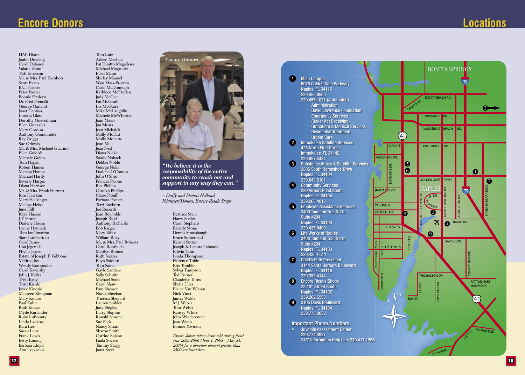## **Encore Donors**

H.W. Dixon Joahn Dowling Carol Dulanev Valarie Dunn Tish Emerson Mr. & Mrs. Paul Eschholz **Scott Evans** K.C. Faeffler Peter Farrier **Bonnie** Fredeen Dr. Fred Frensilli George Garland Janet Geniusz Loretta Glass Dorothy Goetzelman Ellen Gonzales Mary Gordon Anthony Grandinette Ray Griggs Sue Grinwis Mr. & Mrs. Michael Guarino Ellen Guidish Michele Gullev Tom Hagan Robert Haines Marsha Hanna Michael Hardy Beverly Harper Diana Harrison Mr. & Mrs. Frank Hartrett Kim Hawkins Mary Heckinger Melissa Heise June Hill Kave Hinson I.T. Horan Darlene House Lynne Hyunadi Tom Iandimarino Starr Intrabartolo Carol James Lisa Jegenich Phyllis Jessen Estate of Joseph F. Gibbons Mildred Joy Wendy Karopoulos Carol Kavinsky John J. Keller Trish Kelly Trish Kienle **Iovce Kincaid** Maureen Klingman Mary Krause Paul Kuhn **Ruth Kunze** Clyde Kurlander Ruby LaBounty Linda Lackore Kara Lee Susan Lenz **Frank Lewis Betty Liming** Barbara Lloyd Ann Lopusnak

Tom Lutz Arleen Machak Pat Dinitto Magalhaes Michael Magruder Ellen Mann Shirley Manuel Wyn Mass-Protzen Carol McDonough Kathleen McFadden **Iudy McGee** Pat McGrath Liz McGuire Mike McLaughlin Michele McWhorten **Ioan Mears** Ian Mears .<br>Jean Michalek Molly Moffatt Molly Monette **Ioan Mull Jean Neal** .<br>Diana Nickle Sandy Nobach Debbie Noble George Nolin Darlene O'Connor John O'Shea Frances Paione **Rex Phillips** Carolyn Phillips Claire Plouff Barbara Posner Terri Ravburn **Ioe Records** Ioan Revnolds Ioseph Ricci Anthony Richards **Bob Rieger** Mary Rifice William Rilev Mr. & Mrs. Paul Roberts Carol Rohrbach Marilyn Romeo Ruth Salater Ellyn Saldutti Tom Sams **Gavle Sanders** Sally Scholtz Michael Scott Carol Shaw Pam Shearer Nonie Sheehan Theresa Shepard Lauren Shibley **Judy Shigley** Larry Shipton Ronald Simone **Sue Slick Nancy Smart** Sharon Smith Corrine Solano Paula Sovero **Tammy Stagg** 

**Ianet** Steel



"We believe it is the responsibility of the entire community to reach out and support in any way they can."

- Duffy and Dennis Holland, Volunteer/Donors. Encore Resale Shops

> **Beatrice Stein** Harry Steller Carol Stephens Beverly Stone Dennis Strausbaugh Bruce Sutherland Kermit Sutton Joseph & Lenora Taboada Edwin Tann Linda Thompson Florence Tobin Kris Tomblin Svlvia Tumpson Ted Turner **Claudette Turns** Shelia Ultes Elaine Van Wieren Nick Vinci **James Walsh** M.I. Weber Tom Welsh **Ransey White** John Winebrenner **Jean Wynn** Bonnie Yovicsin

Encore donors whose items sold during fiscal year 2005-2006 (June 1, 2005 - May 31, 2006) for a donation amount greater than \$500 are listed here.